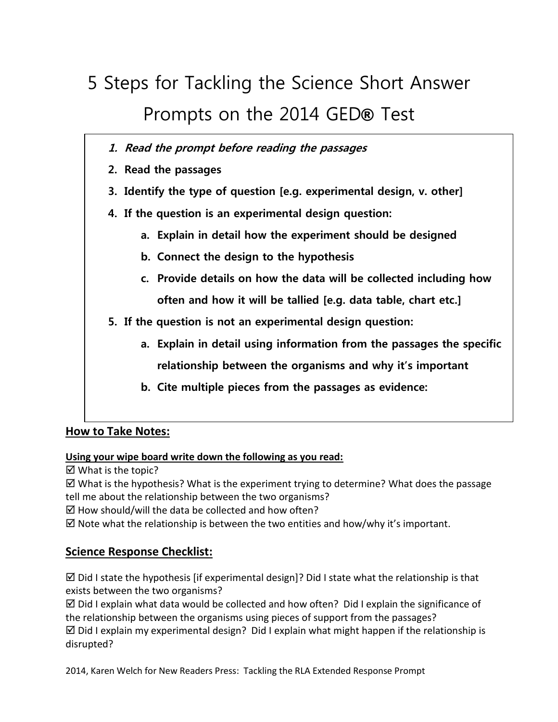# 5 Steps for Tackling the Science Short Answer Prompts on the 2014 GED*®* Test

- **1. Read the prompt before reading the passages**
- **2. Read the passages**
- **3. Identify the type of question [e.g. experimental design, v. other]**
- **4. If the question is an experimental design question:**
	- **a. Explain in detail how the experiment should be designed**
	- **b. Connect the design to the hypothesis**
	- **c. Provide details on how the data will be collected including how often and how it will be tallied [e.g. data table, chart etc.]**
- **5. If the question is not an experimental design question:**
	- **a. Explain in detail using information from the passages the specific relationship between the organisms and why it's important**
	- **b. Cite multiple pieces from the passages as evidence:**

## **How to Take Notes:**

**Using your wipe board write down the following as you read:**

 $\boxtimes$  What is the topic?

 $\boxtimes$  What is the hypothesis? What is the experiment trying to determine? What does the passage tell me about the relationship between the two organisms?

 $\boxtimes$  How should/will the data be collected and how often?

 $\boxtimes$  Note what the relationship is between the two entities and how/why it's important.

## **Science Response Checklist:**

 $\boxtimes$  Did I state the hypothesis [if experimental design]? Did I state what the relationship is that exists between the two organisms?

 $\boxtimes$  Did I explain what data would be collected and how often? Did I explain the significance of the relationship between the organisms using pieces of support from the passages?  $\boxtimes$  Did I explain my experimental design? Did I explain what might happen if the relationship is disrupted?

2014, Karen Welch for New Readers Press: Tackling the RLA Extended Response Prompt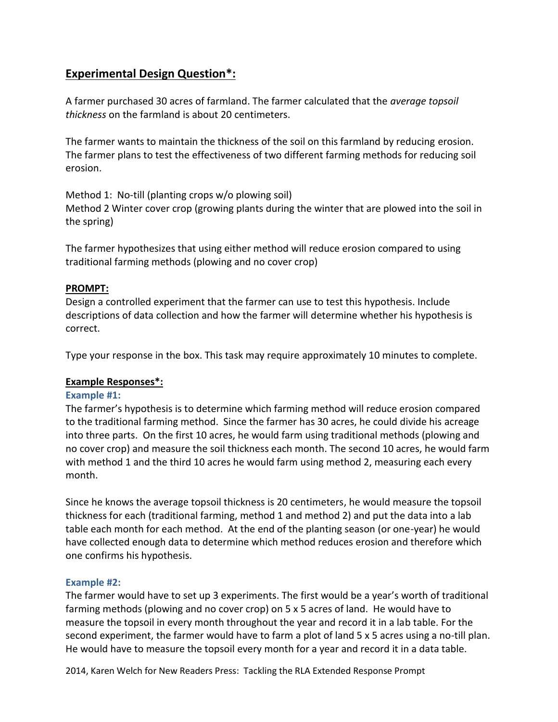# **Experimental Design Question\*:**

A farmer purchased 30 acres of farmland. The farmer calculated that the *average topsoil thickness* on the farmland is about 20 centimeters.

The farmer wants to maintain the thickness of the soil on this farmland by reducing erosion. The farmer plans to test the effectiveness of two different farming methods for reducing soil erosion.

Method 1: No-till (planting crops w/o plowing soil)

Method 2 Winter cover crop (growing plants during the winter that are plowed into the soil in the spring)

The farmer hypothesizes that using either method will reduce erosion compared to using traditional farming methods (plowing and no cover crop)

### **PROMPT:**

Design a controlled experiment that the farmer can use to test this hypothesis. Include descriptions of data collection and how the farmer will determine whether his hypothesis is correct.

Type your response in the box. This task may require approximately 10 minutes to complete.

#### **Example Responses\*:**

#### **Example #1:**

The farmer's hypothesis is to determine which farming method will reduce erosion compared to the traditional farming method. Since the farmer has 30 acres, he could divide his acreage into three parts. On the first 10 acres, he would farm using traditional methods (plowing and no cover crop) and measure the soil thickness each month. The second 10 acres, he would farm with method 1 and the third 10 acres he would farm using method 2, measuring each every month.

Since he knows the average topsoil thickness is 20 centimeters, he would measure the topsoil thickness for each (traditional farming, method 1 and method 2) and put the data into a lab table each month for each method. At the end of the planting season (or one-year) he would have collected enough data to determine which method reduces erosion and therefore which one confirms his hypothesis.

#### **Example #2:**

The farmer would have to set up 3 experiments. The first would be a year's worth of traditional farming methods (plowing and no cover crop) on 5 x 5 acres of land. He would have to measure the topsoil in every month throughout the year and record it in a lab table. For the second experiment, the farmer would have to farm a plot of land 5 x 5 acres using a no-till plan. He would have to measure the topsoil every month for a year and record it in a data table.

2014, Karen Welch for New Readers Press: Tackling the RLA Extended Response Prompt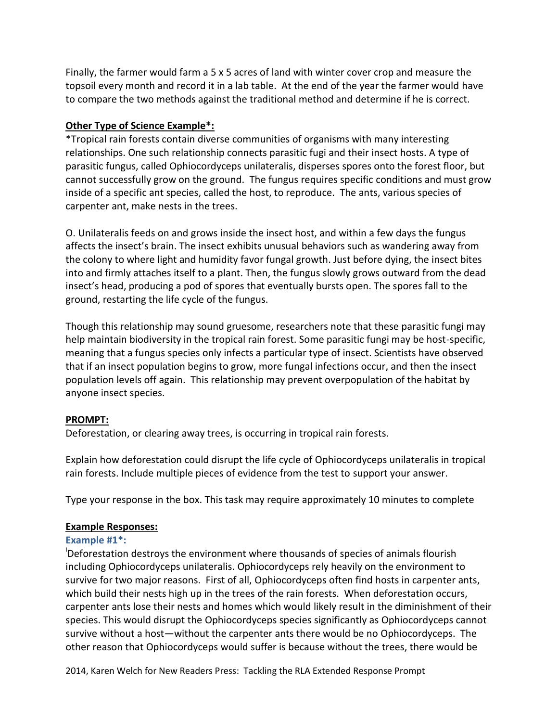Finally, the farmer would farm a 5 x 5 acres of land with winter cover crop and measure the topsoil every month and record it in a lab table. At the end of the year the farmer would have to compare the two methods against the traditional method and determine if he is correct.

## **Other Type of Science Example\*:**

\*Tropical rain forests contain diverse communities of organisms with many interesting relationships. One such relationship connects parasitic fugi and their insect hosts. A type of parasitic fungus, called Ophiocordyceps unilateralis, disperses spores onto the forest floor, but cannot successfully grow on the ground. The fungus requires specific conditions and must grow inside of a specific ant species, called the host, to reproduce. The ants, various species of carpenter ant, make nests in the trees.

O. Unilateralis feeds on and grows inside the insect host, and within a few days the fungus affects the insect's brain. The insect exhibits unusual behaviors such as wandering away from the colony to where light and humidity favor fungal growth. Just before dying, the insect bites into and firmly attaches itself to a plant. Then, the fungus slowly grows outward from the dead insect's head, producing a pod of spores that eventually bursts open. The spores fall to the ground, restarting the life cycle of the fungus.

Though this relationship may sound gruesome, researchers note that these parasitic fungi may help maintain biodiversity in the tropical rain forest. Some parasitic fungi may be host-specific, meaning that a fungus species only infects a particular type of insect. Scientists have observed that if an insect population begins to grow, more fungal infections occur, and then the insect population levels off again. This relationship may prevent overpopulation of the habitat by anyone insect species.

#### **PROMPT:**

Deforestation, or clearing away trees, is occurring in tropical rain forests.

Explain how deforestation could disrupt the life cycle of Ophiocordyceps unilateralis in tropical rain forests. Include multiple pieces of evidence from the test to support your answer.

Type your response in the box. This task may require approximately 10 minutes to complete

#### **Example Responses:**

#### **Example #1\*:**

<sup>i</sup>Deforestation destroys the environment where thousands of species of animals flourish including Ophiocordyceps unilateralis. Ophiocordyceps rely heavily on the environment to survive for two major reasons. First of all, Ophiocordyceps often find hosts in carpenter ants, which build their nests high up in the trees of the rain forests. When deforestation occurs, carpenter ants lose their nests and homes which would likely result in the diminishment of their species. This would disrupt the Ophiocordyceps species significantly as Ophiocordyceps cannot survive without a host—without the carpenter ants there would be no Ophiocordyceps. The other reason that Ophiocordyceps would suffer is because without the trees, there would be

2014, Karen Welch for New Readers Press: Tackling the RLA Extended Response Prompt